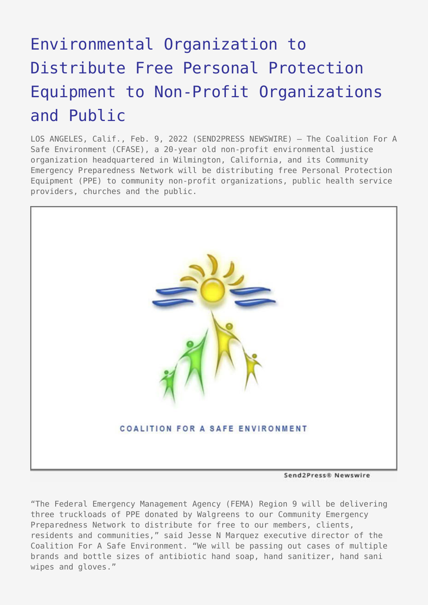## [Environmental Organization to](https://www.send2press.com/wire/environmental-organization-to-distribute-free-personal-protection-equipment-to-non-profit-organizations-and-public/) [Distribute Free Personal Protection](https://www.send2press.com/wire/environmental-organization-to-distribute-free-personal-protection-equipment-to-non-profit-organizations-and-public/) [Equipment to Non-Profit Organizations](https://www.send2press.com/wire/environmental-organization-to-distribute-free-personal-protection-equipment-to-non-profit-organizations-and-public/) [and Public](https://www.send2press.com/wire/environmental-organization-to-distribute-free-personal-protection-equipment-to-non-profit-organizations-and-public/)

LOS ANGELES, Calif., Feb. 9, 2022 (SEND2PRESS NEWSWIRE) — The Coalition For A Safe Environment (CFASE), a 20-year old non-profit environmental justice organization headquartered in Wilmington, California, and its Community Emergency Preparedness Network will be distributing free Personal Protection Equipment (PPE) to community non-profit organizations, public health service providers, churches and the public.



Send2Press® Newswire

"The Federal Emergency Management Agency (FEMA) Region 9 will be delivering three truckloads of PPE donated by Walgreens to our Community Emergency Preparedness Network to distribute for free to our members, clients, residents and communities," said Jesse N Marquez executive director of the Coalition For A Safe Environment. "We will be passing out cases of multiple brands and bottle sizes of antibiotic hand soap, hand sanitizer, hand sani wipes and gloves."